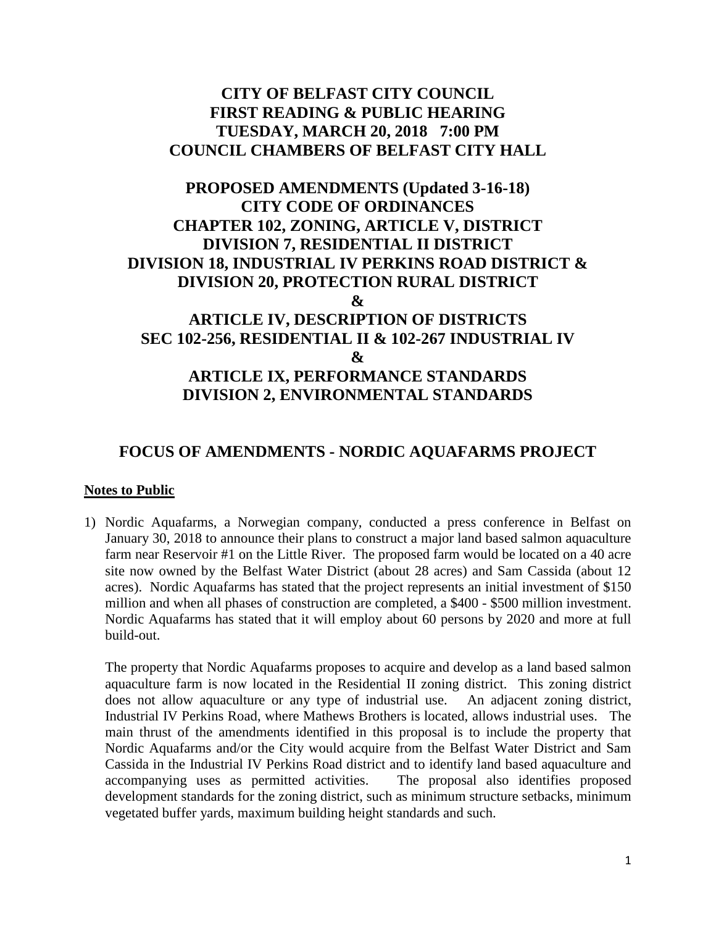## **CITY OF BELFAST CITY COUNCIL FIRST READING & PUBLIC HEARING TUESDAY, MARCH 20, 2018 7:00 PM COUNCIL CHAMBERS OF BELFAST CITY HALL**

## **PROPOSED AMENDMENTS (Updated 3-16-18) CITY CODE OF ORDINANCES CHAPTER 102, ZONING, ARTICLE V, DISTRICT DIVISION 7, RESIDENTIAL II DISTRICT DIVISION 18, INDUSTRIAL IV PERKINS ROAD DISTRICT & DIVISION 20, PROTECTION RURAL DISTRICT & ARTICLE IV, DESCRIPTION OF DISTRICTS SEC 102-256, RESIDENTIAL II & 102-267 INDUSTRIAL IV & ARTICLE IX, PERFORMANCE STANDARDS DIVISION 2, ENVIRONMENTAL STANDARDS**

## **FOCUS OF AMENDMENTS - NORDIC AQUAFARMS PROJECT**

#### **Notes to Public**

1) Nordic Aquafarms, a Norwegian company, conducted a press conference in Belfast on January 30, 2018 to announce their plans to construct a major land based salmon aquaculture farm near Reservoir #1 on the Little River. The proposed farm would be located on a 40 acre site now owned by the Belfast Water District (about 28 acres) and Sam Cassida (about 12 acres). Nordic Aquafarms has stated that the project represents an initial investment of \$150 million and when all phases of construction are completed, a \$400 - \$500 million investment. Nordic Aquafarms has stated that it will employ about 60 persons by 2020 and more at full build-out.

The property that Nordic Aquafarms proposes to acquire and develop as a land based salmon aquaculture farm is now located in the Residential II zoning district. This zoning district does not allow aquaculture or any type of industrial use. An adjacent zoning district, Industrial IV Perkins Road, where Mathews Brothers is located, allows industrial uses. The main thrust of the amendments identified in this proposal is to include the property that Nordic Aquafarms and/or the City would acquire from the Belfast Water District and Sam Cassida in the Industrial IV Perkins Road district and to identify land based aquaculture and accompanying uses as permitted activities. The proposal also identifies proposed development standards for the zoning district, such as minimum structure setbacks, minimum vegetated buffer yards, maximum building height standards and such.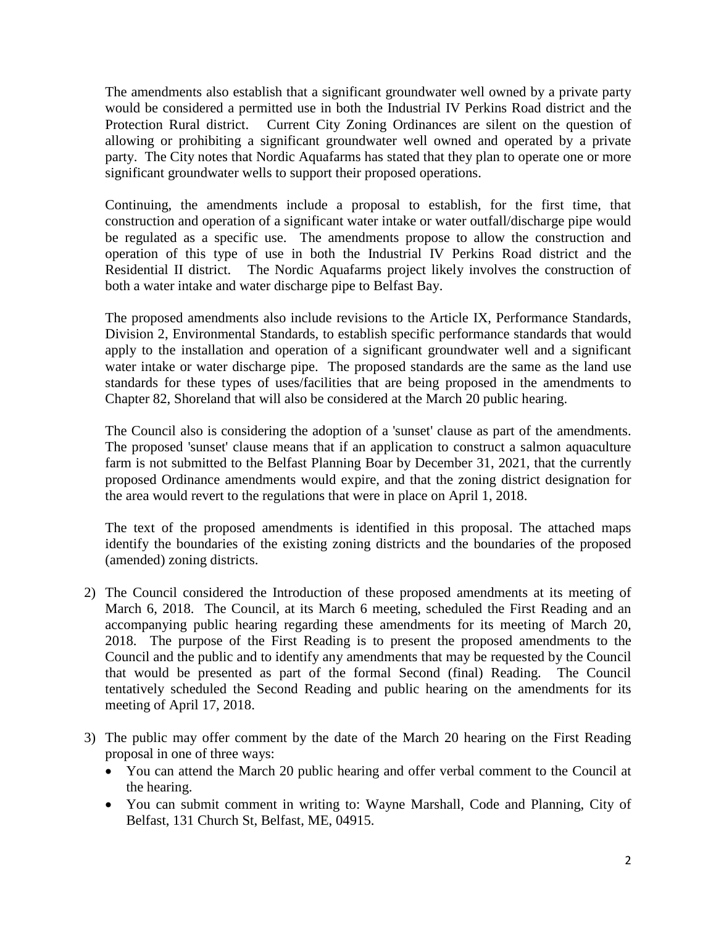The amendments also establish that a significant groundwater well owned by a private party would be considered a permitted use in both the Industrial IV Perkins Road district and the Protection Rural district. Current City Zoning Ordinances are silent on the question of allowing or prohibiting a significant groundwater well owned and operated by a private party. The City notes that Nordic Aquafarms has stated that they plan to operate one or more significant groundwater wells to support their proposed operations.

Continuing, the amendments include a proposal to establish, for the first time, that construction and operation of a significant water intake or water outfall/discharge pipe would be regulated as a specific use. The amendments propose to allow the construction and operation of this type of use in both the Industrial IV Perkins Road district and the Residential II district. The Nordic Aquafarms project likely involves the construction of both a water intake and water discharge pipe to Belfast Bay.

The proposed amendments also include revisions to the Article IX, Performance Standards, Division 2, Environmental Standards, to establish specific performance standards that would apply to the installation and operation of a significant groundwater well and a significant water intake or water discharge pipe. The proposed standards are the same as the land use standards for these types of uses/facilities that are being proposed in the amendments to Chapter 82, Shoreland that will also be considered at the March 20 public hearing.

The Council also is considering the adoption of a 'sunset' clause as part of the amendments. The proposed 'sunset' clause means that if an application to construct a salmon aquaculture farm is not submitted to the Belfast Planning Boar by December 31, 2021, that the currently proposed Ordinance amendments would expire, and that the zoning district designation for the area would revert to the regulations that were in place on April 1, 2018.

The text of the proposed amendments is identified in this proposal. The attached maps identify the boundaries of the existing zoning districts and the boundaries of the proposed (amended) zoning districts.

- 2) The Council considered the Introduction of these proposed amendments at its meeting of March 6, 2018. The Council, at its March 6 meeting, scheduled the First Reading and an accompanying public hearing regarding these amendments for its meeting of March 20, 2018. The purpose of the First Reading is to present the proposed amendments to the Council and the public and to identify any amendments that may be requested by the Council that would be presented as part of the formal Second (final) Reading. The Council tentatively scheduled the Second Reading and public hearing on the amendments for its meeting of April 17, 2018.
- 3) The public may offer comment by the date of the March 20 hearing on the First Reading proposal in one of three ways:
	- You can attend the March 20 public hearing and offer verbal comment to the Council at the hearing.
	- You can submit comment in writing to: Wayne Marshall, Code and Planning, City of Belfast, 131 Church St, Belfast, ME, 04915.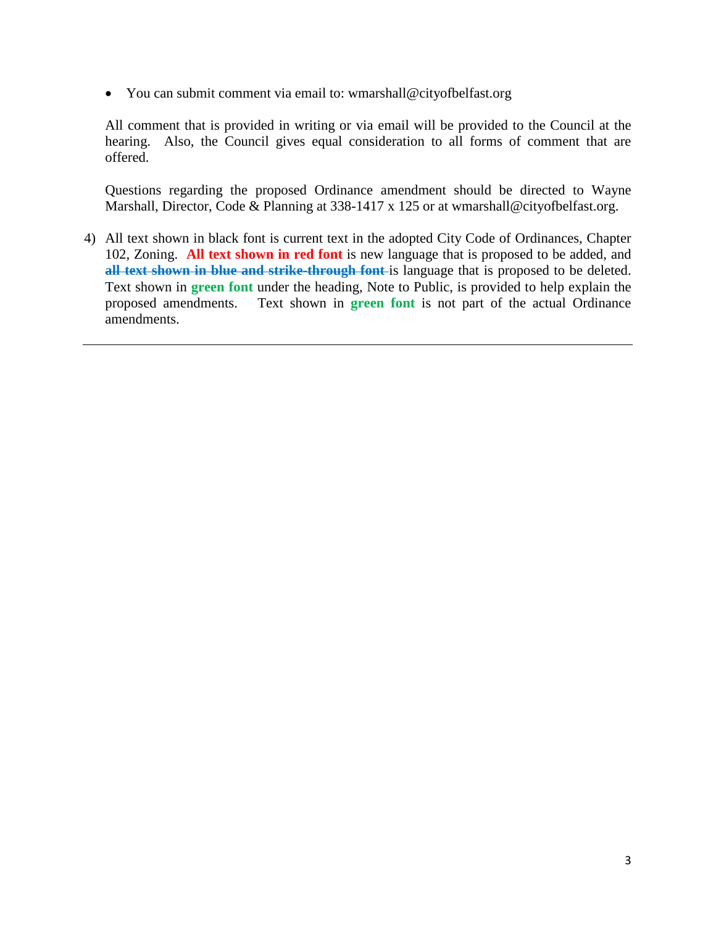• You can submit comment via email to: wmarshall@cityofbelfast.org

All comment that is provided in writing or via email will be provided to the Council at the hearing. Also, the Council gives equal consideration to all forms of comment that are offered.

Questions regarding the proposed Ordinance amendment should be directed to Wayne Marshall, Director, Code & Planning at 338-1417 x 125 or at wmarshall@cityofbelfast.org.

4) All text shown in black font is current text in the adopted City Code of Ordinances, Chapter 102, Zoning. **All text shown in red font** is new language that is proposed to be added, and **all text shown in blue and strike-through font** is language that is proposed to be deleted. Text shown in **green font** under the heading, Note to Public, is provided to help explain the proposed amendments. Text shown in **green font** is not part of the actual Ordinance amendments.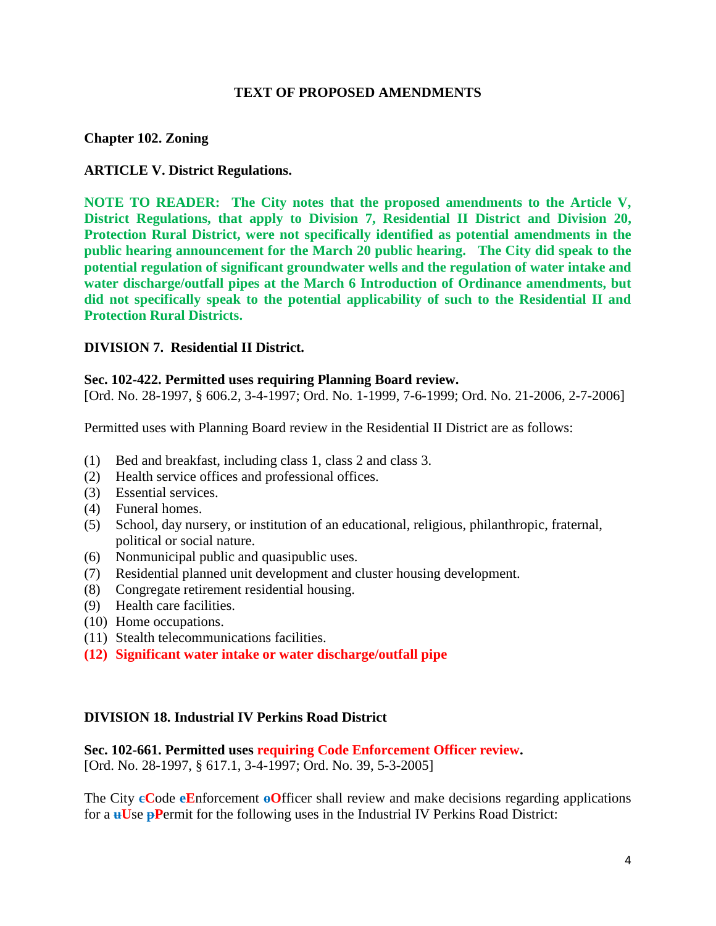#### **TEXT OF PROPOSED AMENDMENTS**

#### **[Chapter 102. Zoning](https://www.ecode360.com/print/BE3520?guid=28414322,28414325,28414329,28414336,28414337&children=true#28413535)**

#### **[ARTICLE V. District Regulations.](https://www.ecode360.com/print/BE3520?guid=28414322,28414325,28414329,28414336,28414337&children=true#28413805)**

**NOTE TO READER: The City notes that the proposed amendments to the Article V, District Regulations, that apply to Division 7, Residential II District and Division 20, Protection Rural District, were not specifically identified as potential amendments in the public hearing announcement for the March 20 public hearing. The City did speak to the potential regulation of significant groundwater wells and the regulation of water intake and water discharge/outfall pipes at the March 6 Introduction of Ordinance amendments, but did not specifically speak to the potential applicability of such to the Residential II and Protection Rural Districts.**

#### **DIVISION 7. Residential II District.**

#### **[Sec. 102-422. Permitted uses requiring Planning Board review.](https://www.ecode360.com/print/BE3520?guid=28414039#28414039)**

[Ord. No. 28-1997, § 606.2, 3-4-1997; Ord. No. 1-1999, 7-6-1999; Ord. No. 21-2006, 2-7-2006]

Permitted uses with Planning Board review in the Residential II District are as follows:

- [\(1\)](https://www.ecode360.com/print/28414040#28414040) Bed and breakfast, including class 1, class 2 and class 3.
- [\(2\)](https://www.ecode360.com/print/28414041#28414041) Health service offices and professional offices.
- [\(3\)](https://www.ecode360.com/print/28414042#28414042) Essential services.
- [\(4\)](https://www.ecode360.com/print/28414043#28414043) Funeral homes.
- [\(5\)](https://www.ecode360.com/print/28414044#28414044) School, day nursery, or institution of an educational, religious, philanthropic, fraternal, political or social nature.
- [\(6\)](https://www.ecode360.com/print/28414045#28414045) Nonmunicipal public and quasipublic uses.
- [\(7\)](https://www.ecode360.com/print/28414046#28414046) Residential planned unit development and cluster housing development.
- [\(8\)](https://www.ecode360.com/print/28414047#28414047) Congregate retirement residential housing.
- [\(9\)](https://www.ecode360.com/print/28414048#28414048) Health care facilities.
- [\(10\)](https://www.ecode360.com/print/28414049#28414049) Home occupations.
- [\(11\)](https://www.ecode360.com/print/28414050#28414050) Stealth telecommunications facilities.
- **(12) Significant water intake or water discharge/outfall pipe**

#### **[DIVISION 18. Industrial IV Perkins Road District](https://www.ecode360.com/print/BE3520?guid=28414322,28414325,28414329,28414336,28414337&children=true#28414321)**

#### **Sec. 102-661. Permitted uses [requiring Code Enforcement Officer review.](https://www.ecode360.com/print/BE3520?guid=28414322,28414325,28414329,28414336,28414337&children=true#28414322)**

[Ord. No. 28-1997, § 617.1, 3-4-1997; Ord. No. 39, 5-3-2005]

The City **cC**ode **eE**nforcement **oO**fficer shall review and make decisions regarding applications for a **uU**se **pP**ermit for the following uses in the Industrial IV Perkins Road District: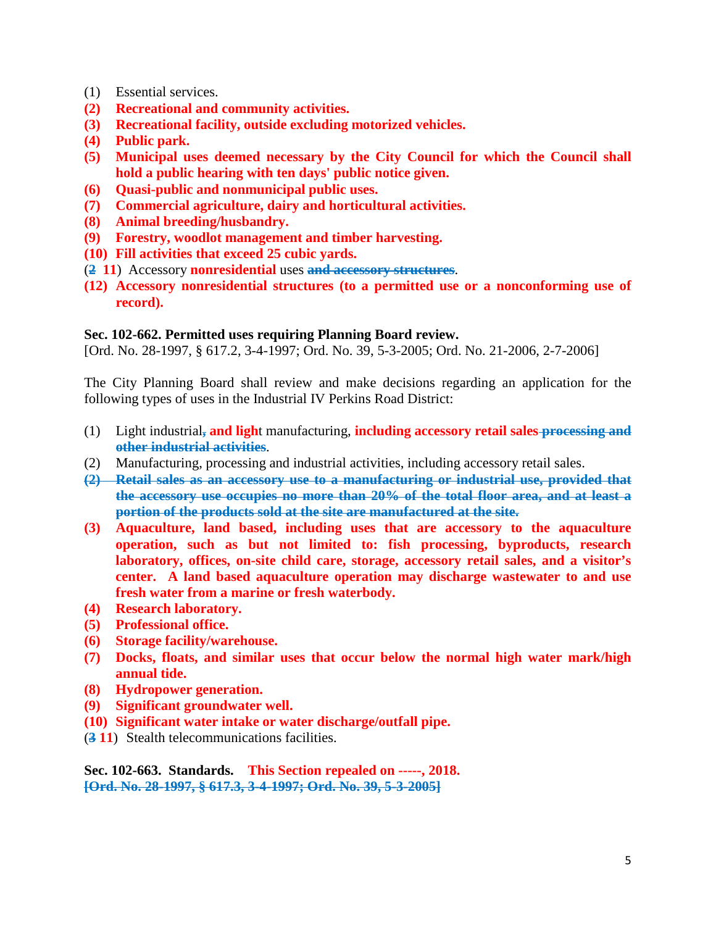- [\(1\)](https://www.ecode360.com/print/28414323#28414323) Essential services.
- **(2) Recreational and community activities.**
- **(3) Recreational facility, outside excluding motorized vehicles.**
- **(4) Public park.**
- **(5) Municipal uses deemed necessary by the City Council for which the Council shall hold a public hearing with ten days' public notice given.**
- **(6) Quasi-public and nonmunicipal public uses.**
- **(7) Commercial agriculture, dairy and horticultural activities.**
- **(8) Animal breeding/husbandry.**
- **(9) Forestry, woodlot management and timber harvesting.**
- **(10) Fill activities that exceed 25 cubic yards.**
- (**2 [11](https://www.ecode360.com/print/28414324#28414324)**) Accessory **nonresidential** uses **and accessory structures**.
- **(12) Accessory nonresidential structures (to a permitted use or a nonconforming use of record).**

#### **[Sec. 102-662. Permitted uses requiring Planning Board review.](https://www.ecode360.com/print/BE3520?guid=28414322,28414325,28414329,28414336,28414337&children=true#28414325)**

[Ord. No. 28-1997, § 617.2, 3-4-1997; Ord. No. 39, 5-3-2005; Ord. No. 21-2006, 2-7-2006]

The City Planning Board shall review and make decisions regarding an application for the following types of uses in the Industrial IV Perkins Road District:

- [\(1\)](https://www.ecode360.com/print/28414326#28414326) Light industrial**, and ligh**t manufacturing, **including accessory retail sales processing and other industrial activities**.
- (2) Manufacturing, processing and industrial activities, including accessory retail sales.
- **[\(2\)](https://www.ecode360.com/print/28414327#28414327) Retail sales as an accessory use to a manufacturing or industrial use, provided that the accessory use occupies no more than 20% of the total floor area, and at least a portion of the products sold at the site are manufactured at the site.**
- **(3) Aquaculture, land based, including uses that are accessory to the aquaculture operation, such as but not limited to: fish processing, byproducts, research laboratory, offices, on-site child care, storage, accessory retail sales, and a visitor's center. A land based aquaculture operation may discharge wastewater to and use fresh water from a marine or fresh waterbody.**
- **(4) Research laboratory.**
- **(5) Professional office.**
- **(6) Storage facility/warehouse.**
- **(7) Docks, floats, and similar uses that occur below the normal high water mark/high annual tide.**
- **(8) Hydropower generation.**
- **(9) Significant groundwater well.**
- **(10) Significant water intake or water discharge/outfall pipe.**
- (**3 [11](https://www.ecode360.com/print/28414328#28414328)**) Stealth telecommunications facilities.

**[Sec. 102-663. Standards.](https://www.ecode360.com/print/BE3520?guid=28414322,28414325,28414329,28414336,28414337&children=true#28414329) This Section repealed on -----, 2018. [Ord. No. 28-1997, § 617.3, 3-4-1997; Ord. No. 39, 5-3-2005]**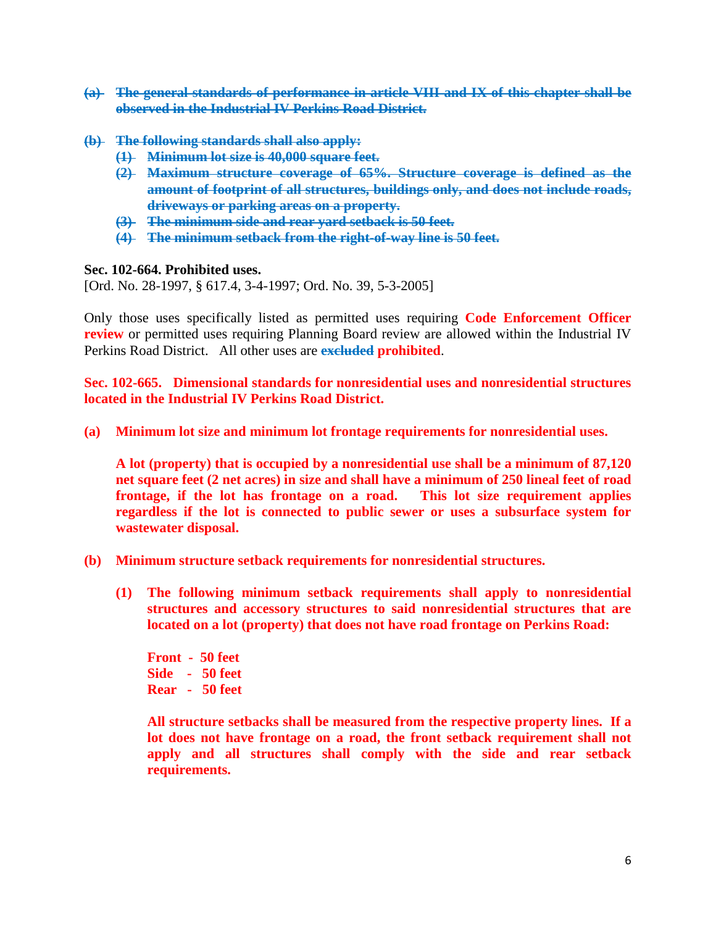- **[\(a\)](https://www.ecode360.com/print/28414330#28414330) The general standards of performance in article [VIII](https://www.ecode360.com/print/28415088#28415088) and [IX](https://www.ecode360.com/print/28415313#28415313) of this chapter shall be observed in the Industrial IV Perkins Road District.**
- **[\(b\)](https://www.ecode360.com/print/28414331#28414331) The following standards shall also apply:**
	- **[\(1\)](https://www.ecode360.com/print/28414332#28414332) Minimum lot size is 40,000 square feet.**
	- **[\(2\)](https://www.ecode360.com/print/28414333#28414333) Maximum structure coverage of 65%. Structure coverage is defined as the amount of footprint of all structures, buildings only, and does not include roads, driveways or parking areas on a property.**
	- **[\(3\)](https://www.ecode360.com/print/28414334#28414334) The minimum side and rear yard setback is 50 feet.**
	- **[\(4\)](https://www.ecode360.com/print/28414335#28414335) The minimum setback from the right-of-way line is 50 feet.**

#### **[Sec. 102-664. Prohibited uses.](https://www.ecode360.com/print/BE3520?guid=28414322,28414325,28414329,28414336,28414337&children=true#28414336)**

[Ord. No. 28-1997, § 617.4, 3-4-1997; Ord. No. 39, 5-3-2005]

Only those uses specifically listed as permitted uses requiring **Code Enforcement Officer review** or permitted uses requiring Planning Board review are allowed within the Industrial IV Perkins Road District. All other uses are **excluded prohibited**.

**Sec. 102-665. Dimensional standards for nonresidential uses and nonresidential structures located in the Industrial IV Perkins Road District.** 

**(a) Minimum lot size and minimum lot frontage requirements for nonresidential uses.**

**A lot (property) that is occupied by a nonresidential use shall be a minimum of 87,120 net square feet (2 net acres) in size and shall have a minimum of 250 lineal feet of road frontage, if the lot has frontage on a road. This lot size requirement applies regardless if the lot is connected to public sewer or uses a subsurface system for wastewater disposal.**

- **(b) Minimum structure setback requirements for nonresidential structures.**
	- **(1) The following minimum setback requirements shall apply to nonresidential structures and accessory structures to said nonresidential structures that are located on a lot (property) that does not have road frontage on Perkins Road:**

**Front - 50 feet Side - 50 feet Rear - 50 feet**

**All structure setbacks shall be measured from the respective property lines. If a lot does not have frontage on a road, the front setback requirement shall not apply and all structures shall comply with the side and rear setback requirements.**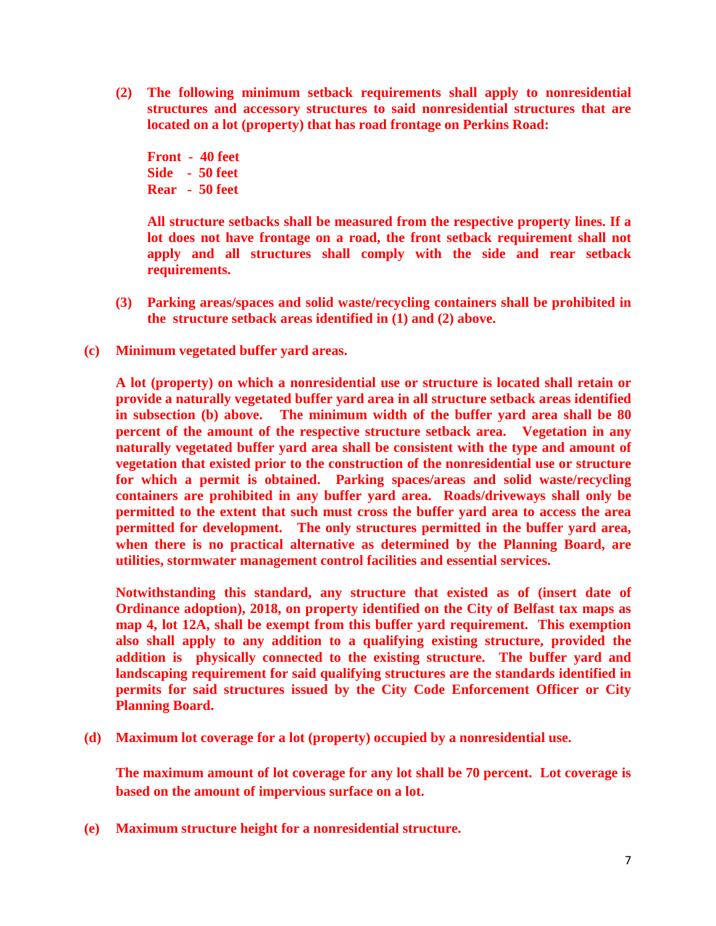**(2) The following minimum setback requirements shall apply to nonresidential structures and accessory structures to said nonresidential structures that are located on a lot (property) that has road frontage on Perkins Road:**

**Front - 40 feet Side - 50 feet Rear - 50 feet**

**All structure setbacks shall be measured from the respective property lines. If a lot does not have frontage on a road, the front setback requirement shall not apply and all structures shall comply with the side and rear setback requirements.** 

- **(3) Parking areas/spaces and solid waste/recycling containers shall be prohibited in the structure setback areas identified in (1) and (2) above.**
- **(c) Minimum vegetated buffer yard areas.**

**A lot (property) on which a nonresidential use or structure is located shall retain or provide a naturally vegetated buffer yard area in all structure setback areas identified in subsection (b) above. The minimum width of the buffer yard area shall be 80 percent of the amount of the respective structure setback area. Vegetation in any naturally vegetated buffer yard area shall be consistent with the type and amount of vegetation that existed prior to the construction of the nonresidential use or structure for which a permit is obtained. Parking spaces/areas and solid waste/recycling containers are prohibited in any buffer yard area. Roads/driveways shall only be permitted to the extent that such must cross the buffer yard area to access the area permitted for development. The only structures permitted in the buffer yard area, when there is no practical alternative as determined by the Planning Board, are utilities, stormwater management control facilities and essential services.** 

**Notwithstanding this standard, any structure that existed as of (insert date of Ordinance adoption), 2018, on property identified on the City of Belfast tax maps as map 4, lot 12A, shall be exempt from this buffer yard requirement. This exemption also shall apply to any addition to a qualifying existing structure, provided the addition is physically connected to the existing structure. The buffer yard and landscaping requirement for said qualifying structures are the standards identified in permits for said structures issued by the City Code Enforcement Officer or City Planning Board.** 

**(d) Maximum lot coverage for a lot (property) occupied by a nonresidential use.**

**The maximum amount of lot coverage for any lot shall be 70 percent. Lot coverage is based on the amount of impervious surface on a lot.**

**(e) Maximum structure height for a nonresidential structure.**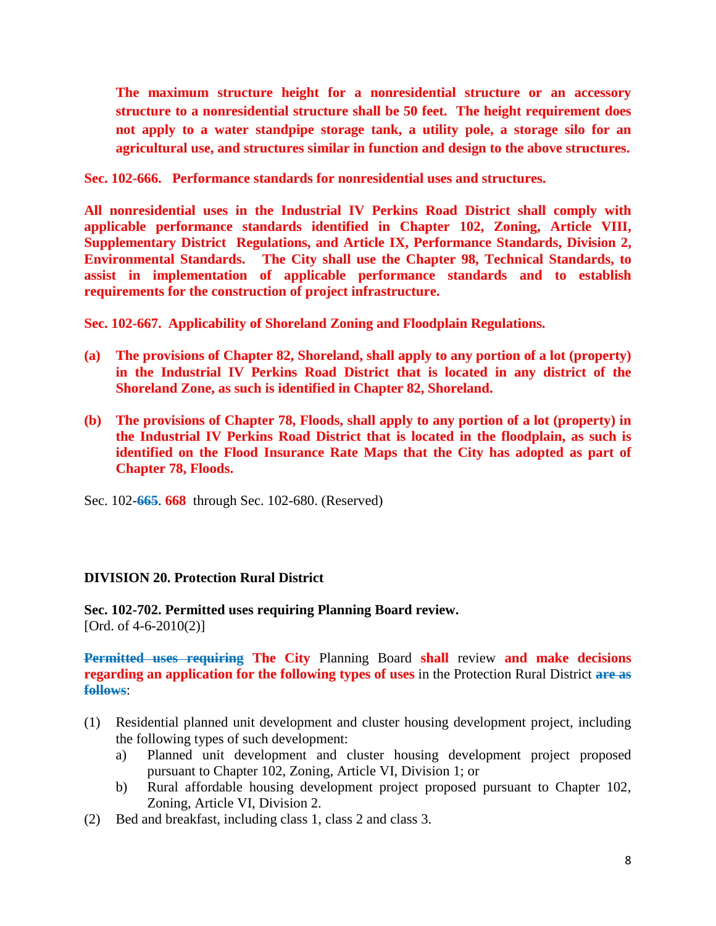**The maximum structure height for a nonresidential structure or an accessory structure to a nonresidential structure shall be 50 feet. The height requirement does not apply to a water standpipe storage tank, a utility pole, a storage silo for an agricultural use, and structures similar in function and design to the above structures.** 

**Sec. 102-666. Performance standards for nonresidential uses and structures.** 

**All nonresidential uses in the Industrial IV Perkins Road District shall comply with applicable performance standards identified in Chapter 102, Zoning, Article VIII, Supplementary District Regulations, and Article IX, Performance Standards, Division 2, Environmental Standards. The City shall use the Chapter 98, Technical Standards, to assist in implementation of applicable performance standards and to establish requirements for the construction of project infrastructure.** 

**Sec. 102-667. Applicability of Shoreland Zoning and Floodplain Regulations.** 

- **(a) The provisions of Chapter 82, Shoreland, shall apply to any portion of a lot (property) in the Industrial IV Perkins Road District that is located in any district of the Shoreland Zone, as such is identified in Chapter 82, Shoreland.**
- **(b) The provisions of Chapter 78, Floods, shall apply to any portion of a lot (property) in the Industrial IV Perkins Road District that is located in the floodplain, as such is identified on the Flood Insurance Rate Maps that the City has adopted as part of Chapter 78, Floods.**

Sec. 102-**665**. **668** [through Sec. 102-680. \(Reserved\)](https://www.ecode360.com/print/BE3520?guid=28414322,28414325,28414329,28414336,28414337&children=true#28414337) 

#### **[DIVISION 20. Protection Rural District](https://www.ecode360.com/print/BE3520?guid=28414350#28414340)**

**[Sec. 102-702. Permitted uses requiring Planning Board review.](https://www.ecode360.com/print/BE3520?guid=28414350#28414350)**  [Ord. of  $4-6-2010(2)$ ]

**Permitted uses requiring The City** Planning Board **shall** review **and make decisions regarding an application for the following types of uses** in the Protection Rural District **are as follows**:

- [\(1\)](https://www.ecode360.com/print/28414351#28414351) Residential planned unit development and cluster housing development project, including the following types of such development:
	- [a\)](https://www.ecode360.com/print/28414352#28414352) Planned unit development and cluster housing development project proposed pursuant to Chapter [102,](https://www.ecode360.com/print/28413535#28413535) Zoning, Article [VI,](https://www.ecode360.com/print/28414883#28414883) Division 1; or
	- [b\)](https://www.ecode360.com/print/28414353#28414353) Rural affordable housing development project proposed pursuant to Chapter [102,](https://www.ecode360.com/print/28413535#28413535) Zoning, Article [VI,](https://www.ecode360.com/print/28414883#28414883) Division 2.
- [\(2\)](https://www.ecode360.com/print/28414354#28414354) Bed and breakfast, including class 1, class 2 and class 3.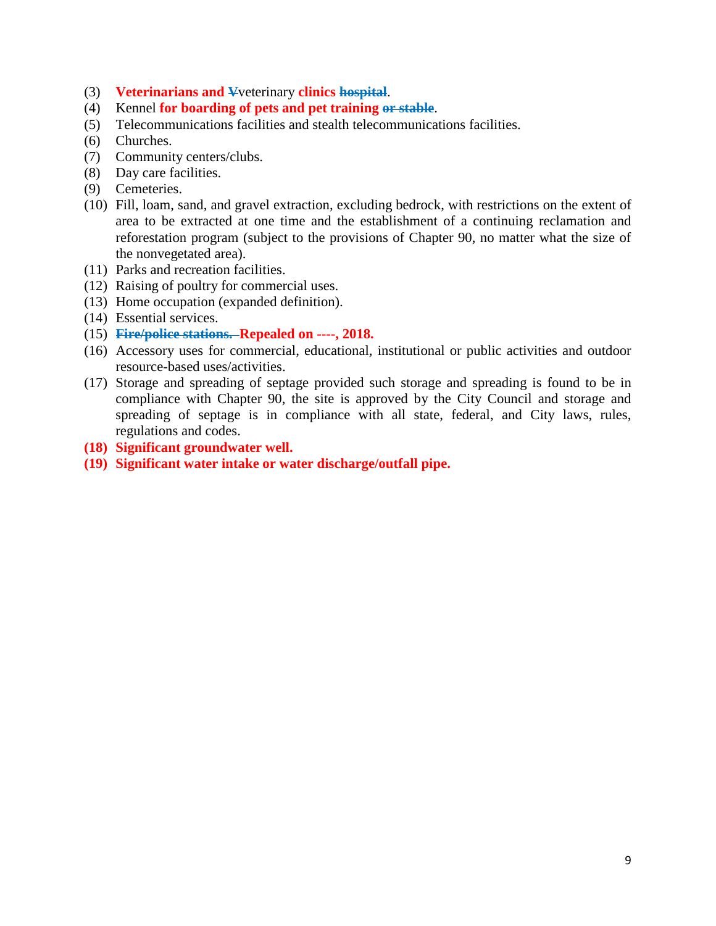- [\(3\)](https://www.ecode360.com/print/28414355#28414355) **Veterinarians and V**veterinary **clinics hospital**.
- [\(4\)](https://www.ecode360.com/print/28414356#28414356) Kennel **for boarding of pets and pet training or stable**.
- [\(5\)](https://www.ecode360.com/print/28414357#28414357) Telecommunications facilities and stealth telecommunications facilities.
- [\(6\)](https://www.ecode360.com/print/28414358#28414358) Churches.
- [\(7\)](https://www.ecode360.com/print/28414359#28414359) Community centers/clubs.
- [\(8\)](https://www.ecode360.com/print/28414360#28414360) Day care facilities.
- [\(9\)](https://www.ecode360.com/print/28414361#28414361) Cemeteries.
- [\(10\)](https://www.ecode360.com/print/28414362#28414362) Fill, loam, sand, and gravel extraction, excluding bedrock, with restrictions on the extent of area to be extracted at one time and the establishment of a continuing reclamation and reforestation program (subject to the provisions of Chapter [90,](https://www.ecode360.com/print/28412494#28412494) no matter what the size of the nonvegetated area).
- [\(11\)](https://www.ecode360.com/print/28414363#28414363) Parks and recreation facilities.
- [\(12\)](https://www.ecode360.com/print/28414364#28414364) Raising of poultry for commercial uses.
- [\(13\)](https://www.ecode360.com/print/28414365#28414365) Home occupation (expanded definition).
- [\(14\)](https://www.ecode360.com/print/28414366#28414366) Essential services.
- [\(15\)](https://www.ecode360.com/print/28414367#28414367) **Fire/police stations. Repealed on ----, 2018.**
- [\(16\)](https://www.ecode360.com/print/28414368#28414368) Accessory uses for commercial, educational, institutional or public activities and outdoor resource-based uses/activities.
- [\(17\)](https://www.ecode360.com/print/28414369#28414369) Storage and spreading of septage provided such storage and spreading is found to be in compliance with Chapter [90,](https://www.ecode360.com/print/28412494#28412494) the site is approved by the City Council and storage and spreading of septage is in compliance with all state, federal, and City laws, rules, regulations and codes.
- **(18) Significant groundwater well.**
- **(19) Significant water intake or water discharge/outfall pipe.**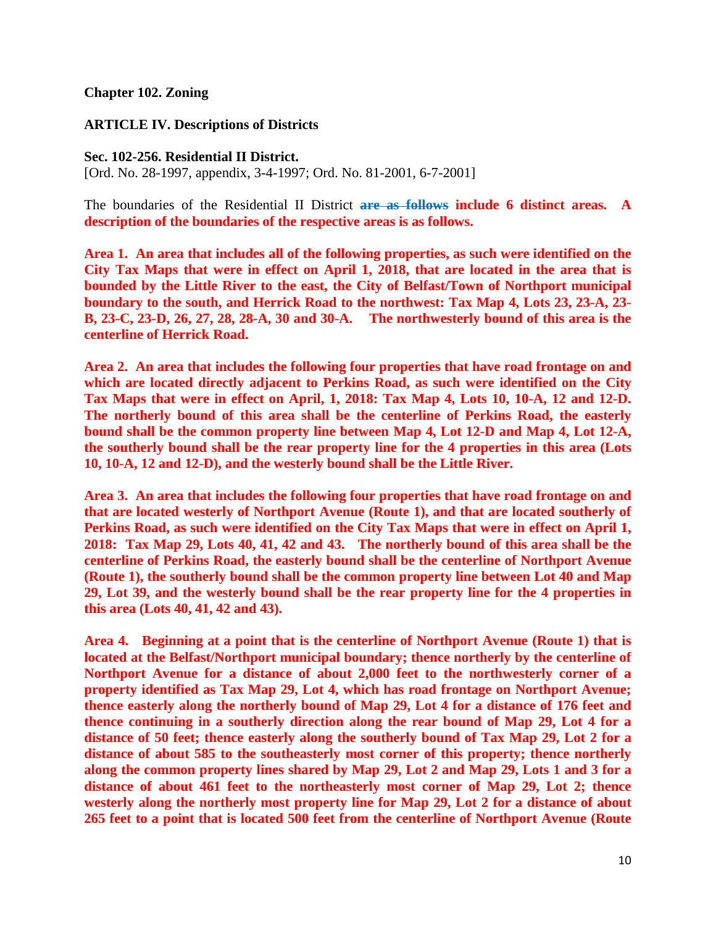#### **[Chapter 102. Zoning](https://www.ecode360.com/print/BE3520?guid=28413788#28413535)**

#### **[ARTICLE IV. Descriptions of Districts](https://www.ecode360.com/print/BE3520?guid=28413788#28413769)**

#### **[Sec. 102-256. Residential II District.](https://www.ecode360.com/print/BE3520?guid=28413775#28413775)**

[Ord. No. 28-1997, appendix, 3-4-1997; Ord. No. 81-2001, 6-7-2001]

The boundaries of the Residential II District **are as follows include 6 distinct areas. A description of the boundaries of the respective areas is as follows.** 

**Area 1. An area that includes all of the following properties, as such were identified on the City Tax Maps that were in effect on April 1, 2018, that are located in the area that is bounded by the Little River to the east, the City of Belfast/Town of Northport municipal boundary to the south, and Herrick Road to the northwest: Tax Map 4, Lots 23, 23-A, 23- B, 23-C, 23-D, 26, 27, 28, 28-A, 30 and 30-A. The northwesterly bound of this area is the centerline of Herrick Road.** 

**Area 2. An area that includes the following four properties that have road frontage on and which are located directly adjacent to Perkins Road, as such were identified on the City Tax Maps that were in effect on April, 1, 2018: Tax Map 4, Lots 10, 10-A, 12 and 12-D. The northerly bound of this area shall be the centerline of Perkins Road, the easterly bound shall be the common property line between Map 4, Lot 12-D and Map 4, Lot 12-A, the southerly bound shall be the rear property line for the 4 properties in this area (Lots 10, 10-A, 12 and 12-D), and the westerly bound shall be the Little River.** 

**Area 3. An area that includes the following four properties that have road frontage on and that are located westerly of Northport Avenue (Route 1), and that are located southerly of Perkins Road, as such were identified on the City Tax Maps that were in effect on April 1, 2018: Tax Map 29, Lots 40, 41, 42 and 43. The northerly bound of this area shall be the centerline of Perkins Road, the easterly bound shall be the centerline of Northport Avenue (Route 1), the southerly bound shall be the common property line between Lot 40 and Map 29, Lot 39, and the westerly bound shall be the rear property line for the 4 properties in this area (Lots 40, 41, 42 and 43).** 

**Area 4. Beginning at a point that is the centerline of Northport Avenue (Route 1) that is located at the Belfast/Northport municipal boundary; thence northerly by the centerline of Northport Avenue for a distance of about 2,000 feet to the northwesterly corner of a property identified as Tax Map 29, Lot 4, which has road frontage on Northport Avenue; thence easterly along the northerly bound of Map 29, Lot 4 for a distance of 176 feet and thence continuing in a southerly direction along the rear bound of Map 29, Lot 4 for a distance of 50 feet; thence easterly along the southerly bound of Tax Map 29, Lot 2 for a distance of about 585 to the southeasterly most corner of this property; thence northerly along the common property lines shared by Map 29, Lot 2 and Map 29, Lots 1 and 3 for a distance of about 461 feet to the northeasterly most corner of Map 29, Lot 2; thence westerly along the northerly most property line for Map 29, Lot 2 for a distance of about 265 feet to a point that is located 500 feet from the centerline of Northport Avenue (Route**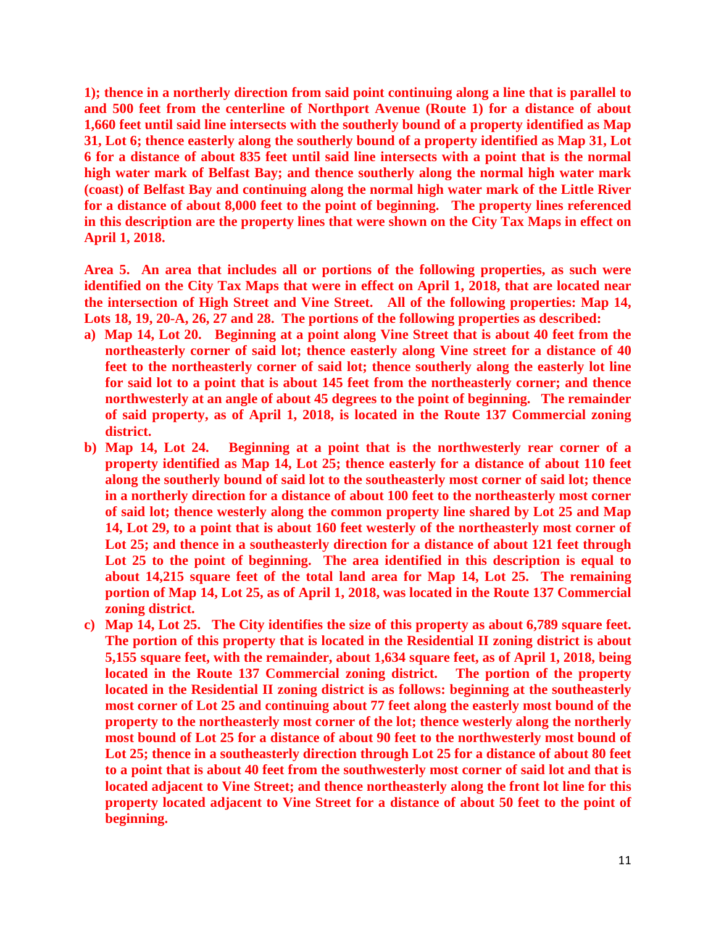**1); thence in a northerly direction from said point continuing along a line that is parallel to and 500 feet from the centerline of Northport Avenue (Route 1) for a distance of about 1,660 feet until said line intersects with the southerly bound of a property identified as Map 31, Lot 6; thence easterly along the southerly bound of a property identified as Map 31, Lot 6 for a distance of about 835 feet until said line intersects with a point that is the normal high water mark of Belfast Bay; and thence southerly along the normal high water mark (coast) of Belfast Bay and continuing along the normal high water mark of the Little River for a distance of about 8,000 feet to the point of beginning. The property lines referenced in this description are the property lines that were shown on the City Tax Maps in effect on April 1, 2018.** 

**Area 5. An area that includes all or portions of the following properties, as such were identified on the City Tax Maps that were in effect on April 1, 2018, that are located near the intersection of High Street and Vine Street. All of the following properties: Map 14, Lots 18, 19, 20-A, 26, 27 and 28. The portions of the following properties as described:**

- **a) Map 14, Lot 20. Beginning at a point along Vine Street that is about 40 feet from the northeasterly corner of said lot; thence easterly along Vine street for a distance of 40 feet to the northeasterly corner of said lot; thence southerly along the easterly lot line for said lot to a point that is about 145 feet from the northeasterly corner; and thence northwesterly at an angle of about 45 degrees to the point of beginning. The remainder of said property, as of April 1, 2018, is located in the Route 137 Commercial zoning district.**
- **b) Map 14, Lot 24. Beginning at a point that is the northwesterly rear corner of a property identified as Map 14, Lot 25; thence easterly for a distance of about 110 feet along the southerly bound of said lot to the southeasterly most corner of said lot; thence in a northerly direction for a distance of about 100 feet to the northeasterly most corner of said lot; thence westerly along the common property line shared by Lot 25 and Map 14, Lot 29, to a point that is about 160 feet westerly of the northeasterly most corner of Lot 25; and thence in a southeasterly direction for a distance of about 121 feet through Lot 25 to the point of beginning. The area identified in this description is equal to about 14,215 square feet of the total land area for Map 14, Lot 25. The remaining portion of Map 14, Lot 25, as of April 1, 2018, was located in the Route 137 Commercial zoning district.**
- **c) Map 14, Lot 25. The City identifies the size of this property as about 6,789 square feet. The portion of this property that is located in the Residential II zoning district is about 5,155 square feet, with the remainder, about 1,634 square feet, as of April 1, 2018, being located in the Route 137 Commercial zoning district. The portion of the property located in the Residential II zoning district is as follows: beginning at the southeasterly most corner of Lot 25 and continuing about 77 feet along the easterly most bound of the property to the northeasterly most corner of the lot; thence westerly along the northerly most bound of Lot 25 for a distance of about 90 feet to the northwesterly most bound of Lot 25; thence in a southeasterly direction through Lot 25 for a distance of about 80 feet to a point that is about 40 feet from the southwesterly most corner of said lot and that is located adjacent to Vine Street; and thence northeasterly along the front lot line for this property located adjacent to Vine Street for a distance of about 50 feet to the point of beginning.**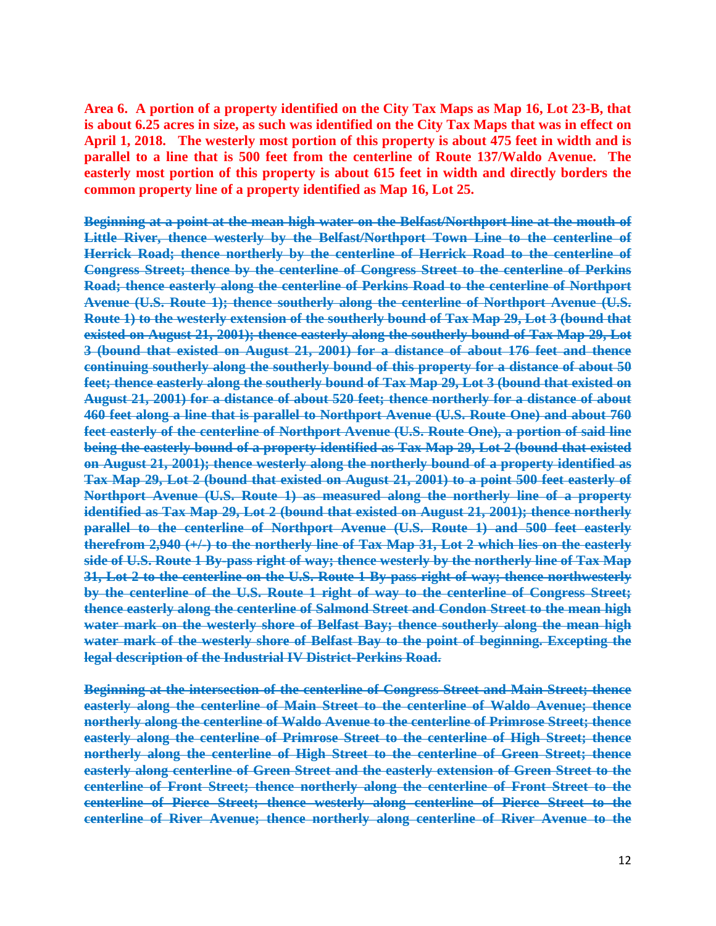**Area 6. A portion of a property identified on the City Tax Maps as Map 16, Lot 23-B, that is about 6.25 acres in size, as such was identified on the City Tax Maps that was in effect on April 1, 2018. The westerly most portion of this property is about 475 feet in width and is parallel to a line that is 500 feet from the centerline of Route 137/Waldo Avenue. The easterly most portion of this property is about 615 feet in width and directly borders the common property line of a property identified as Map 16, Lot 25.** 

**Beginning at a point at the mean high water on the Belfast/Northport line at the mouth of Little River, thence westerly by the Belfast/Northport Town Line to the centerline of Herrick Road; thence northerly by the centerline of Herrick Road to the centerline of Congress Street; thence by the centerline of Congress Street to the centerline of Perkins Road; thence easterly along the centerline of Perkins Road to the centerline of Northport Avenue (U.S. Route 1); thence southerly along the centerline of Northport Avenue (U.S. Route 1) to the westerly extension of the southerly bound of Tax Map 29, Lot 3 (bound that existed on August 21, 2001); thence easterly along the southerly bound of Tax Map 29, Lot 3 (bound that existed on August 21, 2001) for a distance of about 176 feet and thence continuing southerly along the southerly bound of this property for a distance of about 50 feet; thence easterly along the southerly bound of Tax Map 29, Lot 3 (bound that existed on August 21, 2001) for a distance of about 520 feet; thence northerly for a distance of about 460 feet along a line that is parallel to Northport Avenue (U.S. Route One) and about 760 feet easterly of the centerline of Northport Avenue (U.S. Route One), a portion of said line being the easterly bound of a property identified as Tax Map 29, Lot 2 (bound that existed on August 21, 2001); thence westerly along the northerly bound of a property identified as Tax Map 29, Lot 2 (bound that existed on August 21, 2001) to a point 500 feet easterly of Northport Avenue (U.S. Route 1) as measured along the northerly line of a property identified as Tax Map 29, Lot 2 (bound that existed on August 21, 2001); thence northerly parallel to the centerline of Northport Avenue (U.S. Route 1) and 500 feet easterly therefrom 2,940 (+/-) to the northerly line of Tax Map 31, Lot 2 which lies on the easterly side of U.S. Route 1 By-pass right of way; thence westerly by the northerly line of Tax Map 31, Lot 2 to the centerline on the U.S. Route 1 By-pass right of way; thence northwesterly by the centerline of the U.S. Route 1 right of way to the centerline of Congress Street; thence easterly along the centerline of Salmond Street and Condon Street to the mean high water mark on the westerly shore of Belfast Bay; thence southerly along the mean high water mark of the westerly shore of Belfast Bay to the point of beginning. Excepting the legal description of the Industrial IV District-Perkins Road.**

**Beginning at the intersection of the centerline of Congress Street and Main Street; thence easterly along the centerline of Main Street to the centerline of Waldo Avenue; thence northerly along the centerline of Waldo Avenue to the centerline of Primrose Street; thence easterly along the centerline of Primrose Street to the centerline of High Street; thence northerly along the centerline of High Street to the centerline of Green Street; thence easterly along centerline of Green Street and the easterly extension of Green Street to the centerline of Front Street; thence northerly along the centerline of Front Street to the centerline of Pierce Street; thence westerly along centerline of Pierce Street to the centerline of River Avenue; thence northerly along centerline of River Avenue to the**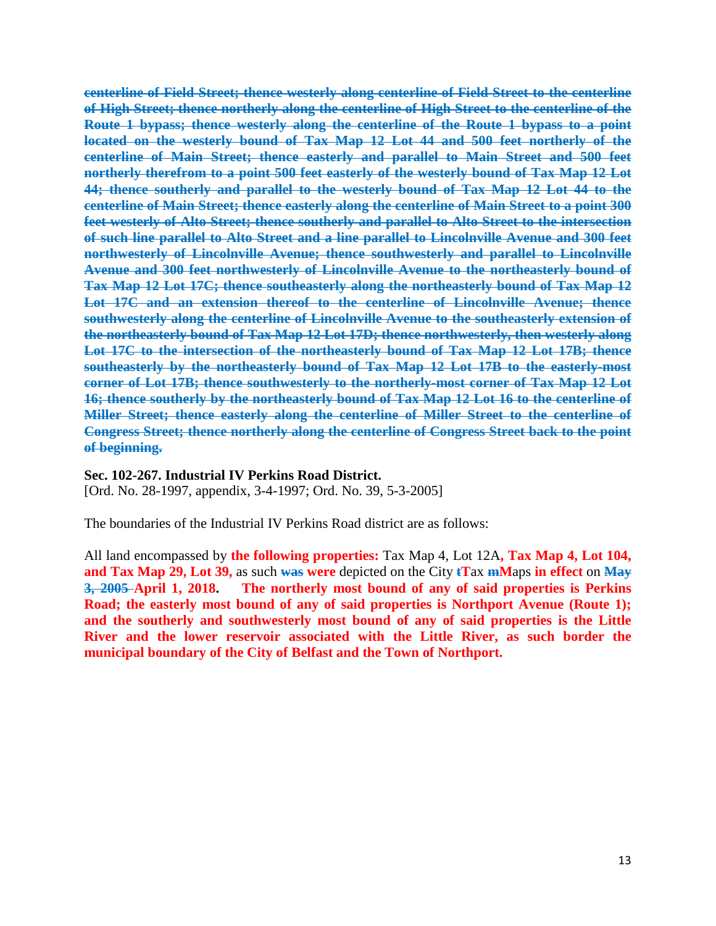**centerline of Field Street; thence westerly along centerline of Field Street to the centerline of High Street; thence northerly along the centerline of High Street to the centerline of the Route 1 bypass; thence westerly along the centerline of the Route 1 bypass to a point located on the westerly bound of Tax Map 12 Lot 44 and 500 feet northerly of the centerline of Main Street; thence easterly and parallel to Main Street and 500 feet northerly therefrom to a point 500 feet easterly of the westerly bound of Tax Map 12 Lot 44; thence southerly and parallel to the westerly bound of Tax Map 12 Lot 44 to the centerline of Main Street; thence easterly along the centerline of Main Street to a point 300 feet westerly of Alto Street; thence southerly and parallel to Alto Street to the intersection of such line parallel to Alto Street and a line parallel to Lincolnville Avenue and 300 feet northwesterly of Lincolnville Avenue; thence southwesterly and parallel to Lincolnville Avenue and 300 feet northwesterly of Lincolnville Avenue to the northeasterly bound of Tax Map 12 Lot 17C; thence southeasterly along the northeasterly bound of Tax Map 12 Lot 17C and an extension thereof to the centerline of Lincolnville Avenue; thence southwesterly along the centerline of Lincolnville Avenue to the southeasterly extension of the northeasterly bound of Tax Map 12 Lot 17D; thence northwesterly, then westerly along Lot 17C to the intersection of the northeasterly bound of Tax Map 12 Lot 17B; thence southeasterly by the northeasterly bound of Tax Map 12 Lot 17B to the easterly-most corner of Lot 17B; thence southwesterly to the northerly-most corner of Tax Map 12 Lot 16; thence southerly by the northeasterly bound of Tax Map 12 Lot 16 to the centerline of Miller Street; thence easterly along the centerline of Miller Street to the centerline of Congress Street; thence northerly along the centerline of Congress Street back to the point of beginning.**

#### **[Sec. 102-267. Industrial IV Perkins Road District.](https://www.ecode360.com/print/BE3520?guid=28413788#28413788)**

[Ord. No. 28-1997, appendix, 3-4-1997; Ord. No. 39, 5-3-2005]

The boundaries of the Industrial IV Perkins Road district are as follows:

All land encompassed by **the following properties:** Tax Map 4, Lot 12A**, Tax Map 4, Lot 104, and Tax Map 29, Lot 39,** as such **was were** depicted on the City **tT**ax **mM**aps **in effect** on **May 3, 2005 April 1, 2018. The northerly most bound of any of said properties is Perkins Road; the easterly most bound of any of said properties is Northport Avenue (Route 1); and the southerly and southwesterly most bound of any of said properties is the Little River and the lower reservoir associated with the Little River, as such border the municipal boundary of the City of Belfast and the Town of Northport.**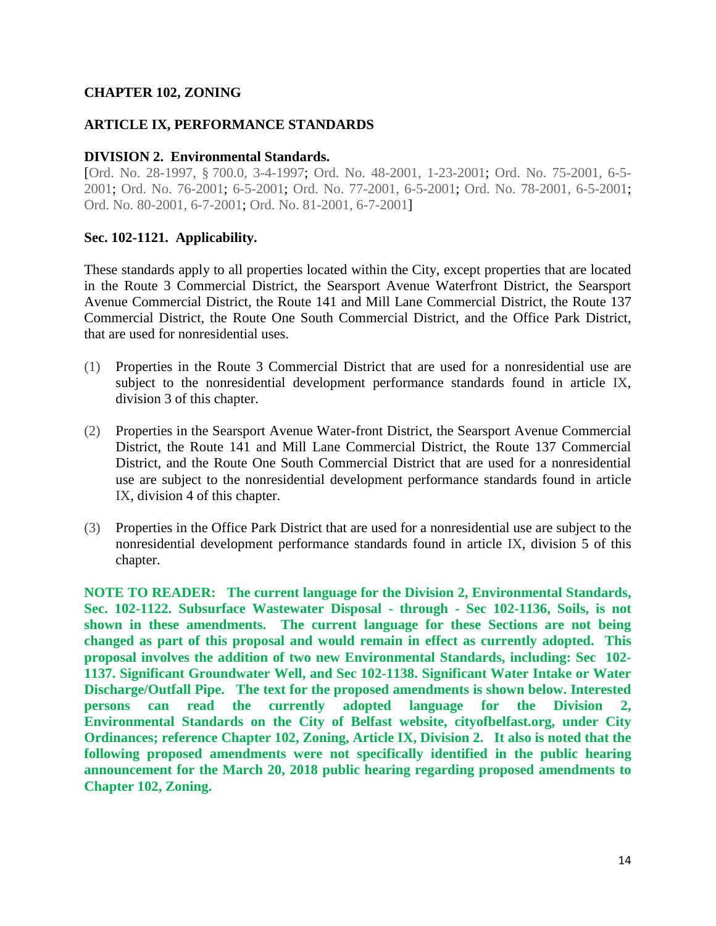#### **CHAPTER 102, ZONING**

#### **ARTICLE IX, PERFORMANCE STANDARDS**

#### **DIVISION 2. Environmental Standards.**

[Ord. No. 28-1997, § 700.0, 3-4-1997; Ord. No. 48-2001, 1-23-2001; Ord. No. 75-2001, 6-5- 2001; Ord. No. 76-2001; 6-5-2001; Ord. No. 77-2001, 6-5-2001; Ord. No. 78-2001, 6-5-2001; Ord. No. 80-2001, 6-7-2001; Ord. No. 81-2001, 6-7-2001]

#### **Sec. 102-1121. Applicability.**

These standards apply to all properties located within the City, except properties that are located in the Route 3 Commercial District, the Searsport Avenue Waterfront District, the Searsport Avenue Commercial District, the Route 141 and Mill Lane Commercial District, the Route 137 Commercial District, the Route One South Commercial District, and the Office Park District, that are used for nonresidential uses.

- [\(1\)](https://www.ecode360.com/28415318#28415318) Properties in the Route 3 Commercial District that are used for a nonresidential use are subject to the nonresidential development performance standards found in article [IX,](https://www.ecode360.com/28415313#28415313) division 3 of this chapter.
- [\(2\)](https://www.ecode360.com/28415319#28415319) Properties in the Searsport Avenue Water-front District, the Searsport Avenue Commercial District, the Route 141 and Mill Lane Commercial District, the Route 137 Commercial District, and the Route One South Commercial District that are used for a nonresidential use are subject to the nonresidential development performance standards found in article [IX,](https://www.ecode360.com/28415313#28415313) division 4 of this chapter.
- [\(3\)](https://www.ecode360.com/28415320#28415320) Properties in the Office Park District that are used for a nonresidential use are subject to the nonresidential development performance standards found in article [IX,](https://www.ecode360.com/28415313#28415313) division 5 of this chapter.

**NOTE TO READER: The current language for the Division 2, Environmental Standards, Sec. 102-1122. Subsurface Wastewater Disposal - through - Sec 102-1136, Soils, is not shown in these amendments. The current language for these Sections are not being changed as part of this proposal and would remain in effect as currently adopted. This proposal involves the addition of two new Environmental Standards, including: Sec 102- 1137. Significant Groundwater Well, and Sec 102-1138. Significant Water Intake or Water Discharge/Outfall Pipe. The text for the proposed amendments is shown below. Interested persons can read the currently adopted language for the Division 2, Environmental Standards on the City of Belfast website, cityofbelfast.org, under City Ordinances; reference Chapter 102, Zoning, Article IX, Division 2. It also is noted that the following proposed amendments were not specifically identified in the public hearing announcement for the March 20, 2018 public hearing regarding proposed amendments to Chapter 102, Zoning.**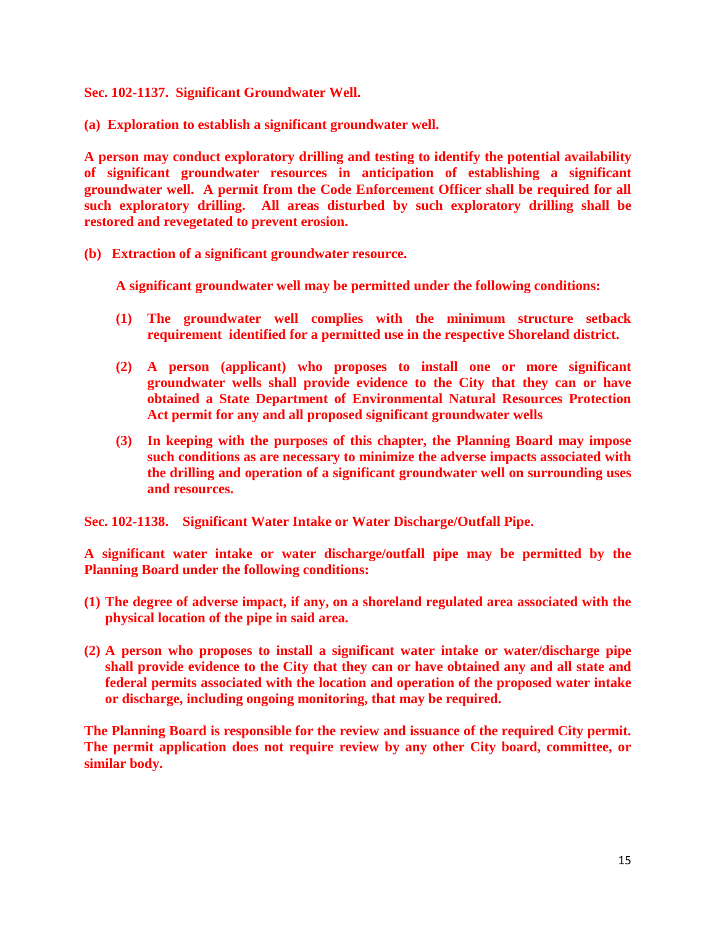**Sec. 102-1137. Significant Groundwater Well.** 

**(a) Exploration to establish a significant groundwater well.** 

**A person may conduct exploratory drilling and testing to identify the potential availability of significant groundwater resources in anticipation of establishing a significant groundwater well. A permit from the Code Enforcement Officer shall be required for all such exploratory drilling. All areas disturbed by such exploratory drilling shall be restored and revegetated to prevent erosion.** 

**(b) Extraction of a significant groundwater resource.** 

**A significant groundwater well may be permitted under the following conditions:**

- **(1) The groundwater well complies with the minimum structure setback requirement identified for a permitted use in the respective Shoreland district.**
- **(2) A person (applicant) who proposes to install one or more significant groundwater wells shall provide evidence to the City that they can or have obtained a State Department of Environmental Natural Resources Protection Act permit for any and all proposed significant groundwater wells**
- **(3) In keeping with the purposes of this chapter, the Planning Board may impose such conditions as are necessary to minimize the adverse impacts associated with the drilling and operation of a significant groundwater well on surrounding uses and resources.**

**Sec. 102-1138. Significant Water Intake or Water Discharge/Outfall Pipe.** 

**A significant water intake or water discharge/outfall pipe may be permitted by the Planning Board under the following conditions:**

- **(1) The degree of adverse impact, if any, on a shoreland regulated area associated with the physical location of the pipe in said area.**
- **(2) A person who proposes to install a significant water intake or water/discharge pipe shall provide evidence to the City that they can or have obtained any and all state and federal permits associated with the location and operation of the proposed water intake or discharge, including ongoing monitoring, that may be required.**

**The Planning Board is responsible for the review and issuance of the required City permit. The permit application does not require review by any other City board, committee, or similar body.**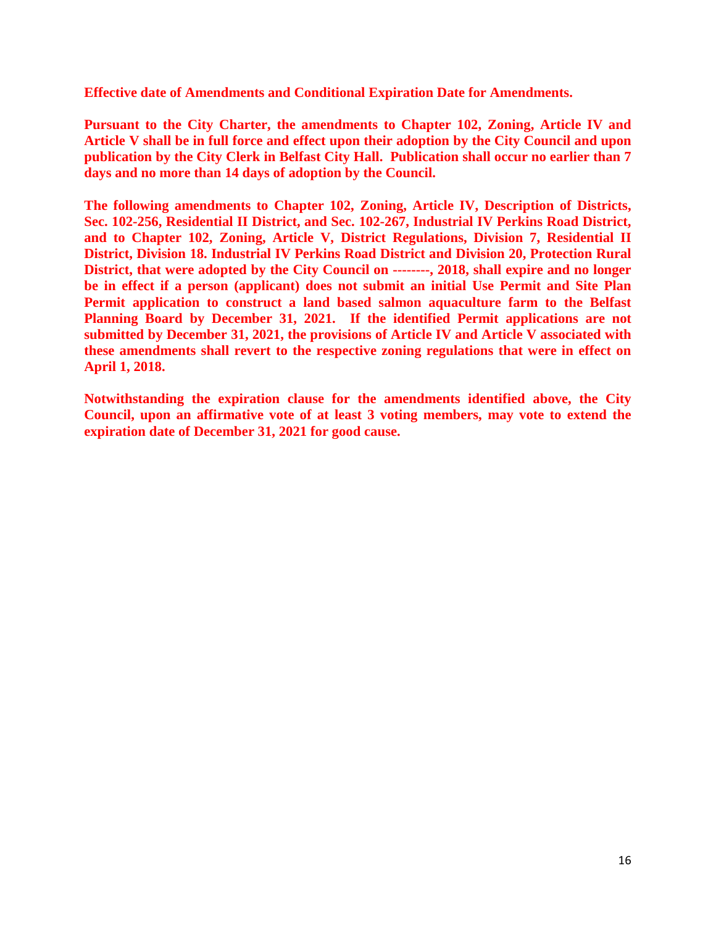**Effective date of Amendments and Conditional Expiration Date for Amendments.** 

**Pursuant to the City Charter, the amendments to Chapter 102, Zoning, Article IV and Article V shall be in full force and effect upon their adoption by the City Council and upon publication by the City Clerk in Belfast City Hall. Publication shall occur no earlier than 7 days and no more than 14 days of adoption by the Council.** 

**The following amendments to Chapter 102, Zoning, Article IV, Description of Districts, Sec. 102-256, Residential II District, and Sec. 102-267, Industrial IV Perkins Road District, and to Chapter 102, Zoning, Article V, District Regulations, Division 7, Residential II District, Division 18. Industrial IV Perkins Road District and Division 20, Protection Rural District, that were adopted by the City Council on --------, 2018, shall expire and no longer be in effect if a person (applicant) does not submit an initial Use Permit and Site Plan Permit application to construct a land based salmon aquaculture farm to the Belfast Planning Board by December 31, 2021. If the identified Permit applications are not submitted by December 31, 2021, the provisions of Article IV and Article V associated with these amendments shall revert to the respective zoning regulations that were in effect on April 1, 2018.** 

**Notwithstanding the expiration clause for the amendments identified above, the City Council, upon an affirmative vote of at least 3 voting members, may vote to extend the expiration date of December 31, 2021 for good cause.**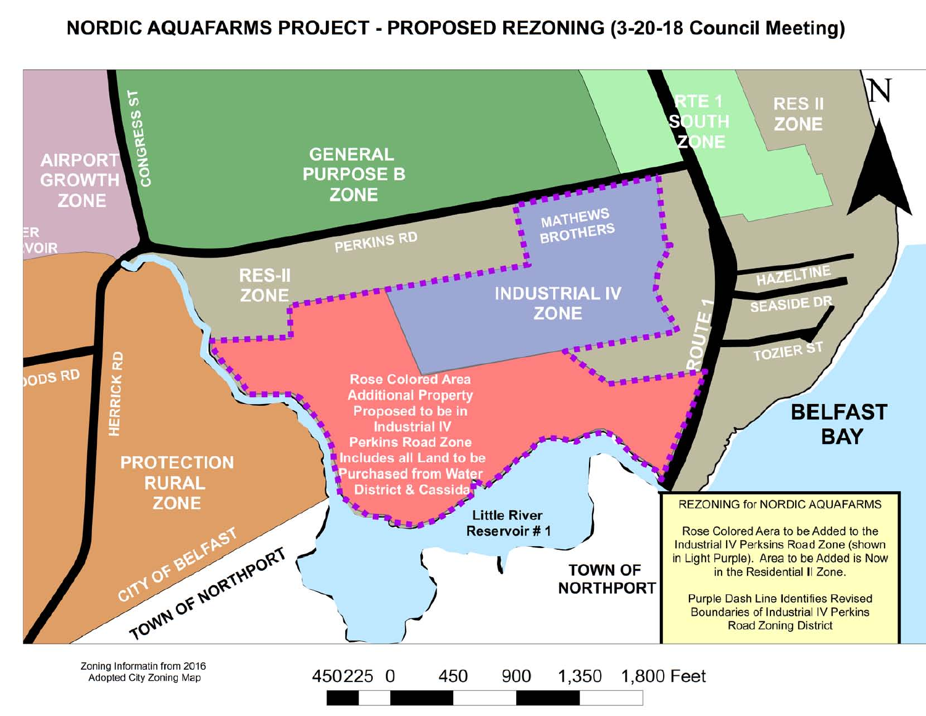## NORDIC AQUAFARMS PROJECT - PROPOSED REZONING (3-20-18 Council Meeting)

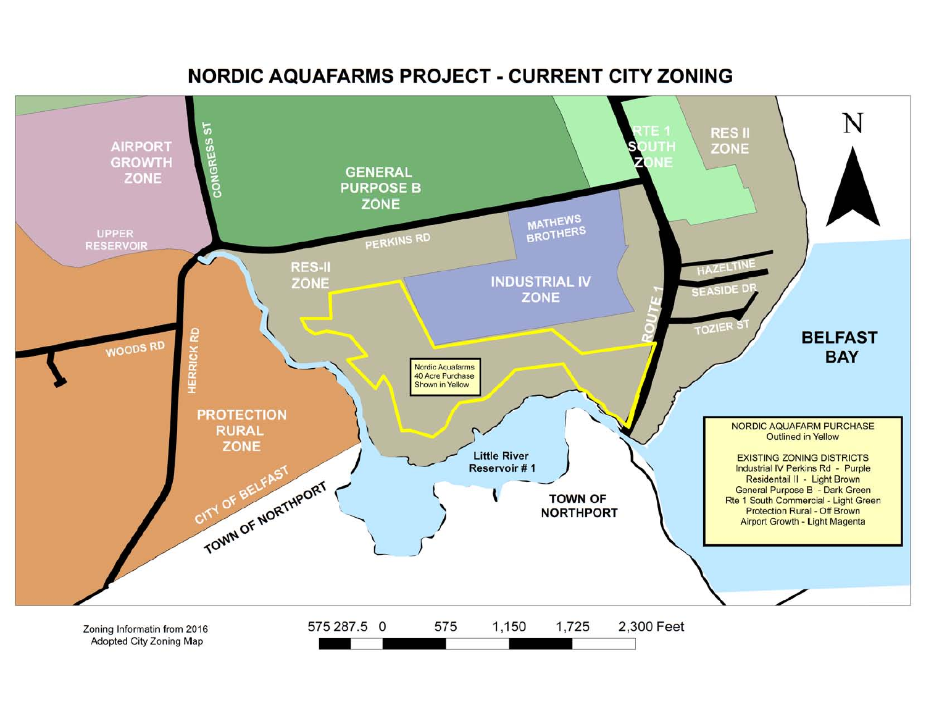# NORDIC AQUAFARMS PROJECT - CURRENT CITY ZONING

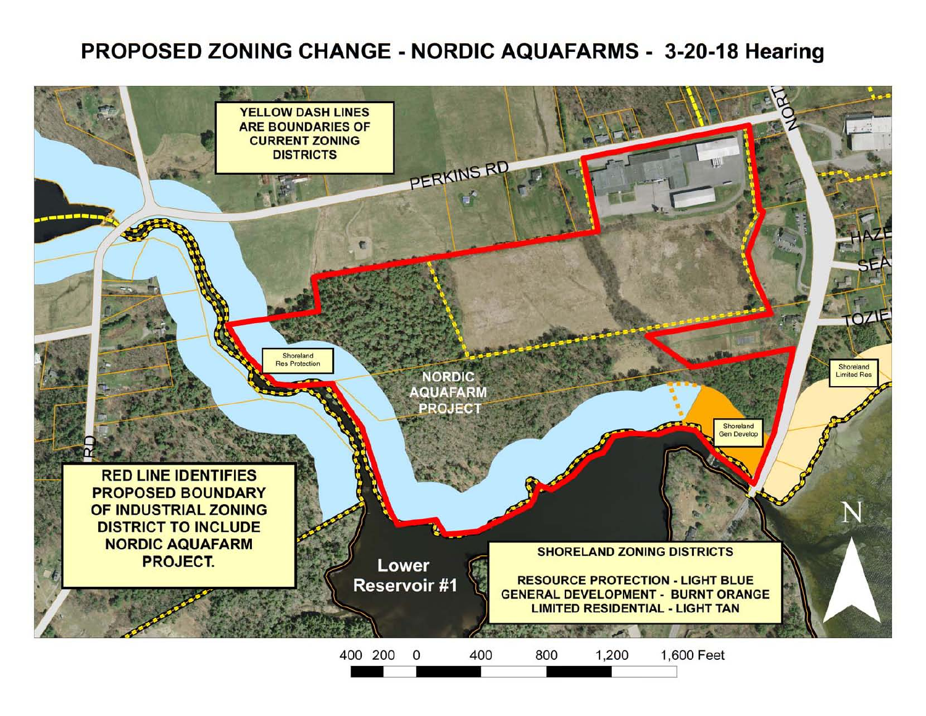# **PROPOSED ZONING CHANGE - NORDIC AQUAFARMS - 3-20-18 Hearing**